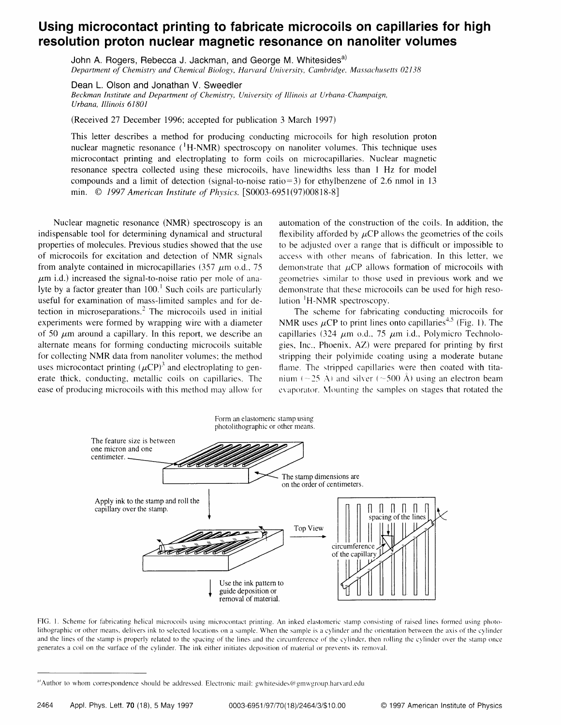## Using microcontact printing to fabricate microcoils on capillaries for high resolution proton nuclear magnetic resonance on nanoliter volumes

John A. Rogers, Rebecca J. Jackman, and George M. Whitesides<sup>a)</sup> Department of Chemistry and Chemical Biology, Harvard University, Cambridge, Massachusetts 02138

Dean L. Olson and Jonathan V. Sweedler Beckman Institute and Department of Chemistry, University of Illinois at Urbana-Champaign, Urbana, Illinois 61801

(Received 27 December 1996; accepted for publication 3 March 1997)

This letter describes a method for producing conducting microcoils for high resolution proton nuclear magnetic resonance  $({}^{1}H\text{-NMR})$  spectroscopy on nanoliter volumes. This technique uses microcontact printing and electroplating to form coils on microcapillaries. Nuclear magnetic resonance spectra collected using these microcoils, have linewidths less than I Hz for model compounds and a limit of detection (signal-to-noise ratio=3) for ethylbenzene of 2.6 nmol in 13 min. @ 1997 American Instirute of Physics. [50003-6951(97)00818-8]

Nuclear magnetic resonance (NMR) spectroscopy is an indispensable tool for determining dynamical and structural properties of molecules. Previous studies showed that the use of microcoils for excitation and detection of NMR signals from analyte contained in microcapillaries (357  $\mu$ m o.d., 75  $\mu$ m i.d.) increased the signal-to-noise ratio per mole of analyte by a factor greater than  $100<sup>1</sup>$  Such coils are particularly useful for examination of mass-limited samples and for detection in microseparations.<sup>2</sup> The microcoils used in initial experiments were formed by wrapping wire with a diameter of 50  $\mu$ m around a capillary. In this report, we describe an alternate means for forming conducting microcoils suitable for collecting NMR data from nanoliter volumes: the method uses microcontact printing  $(\mu CP)^3$  and electroplating to generate thick, conducting, metallic coils on capillaries. The ease of producing microcoils with this method may allow for

automation of the construction of the coils. In addition, the flexibility afforded by  $\mu$ CP allows the geometries of the coils to be adjusted over a range that is difficult or impossible to access with other means of fabrication. In this letter, we demonstrate that  $\mu$ CP allows formation of microcoils with \_ueometries similar to those used in previous work and we demonstrate that these microcoils can be used for high resolution  $H-MR$  spectroscopy.

The scheme for fabricating conducting microcoils for NMR uses  $\mu$ CP to print lines onto capillaries<sup>4.5</sup> (Fig. 1). The capillaries  $(324 \mu m \text{ o.d., } 75 \mu m \text{ i.d., Polymicro Technolo-}$ gies, Inc., Phoenix, AZ) were prepared for printing by first stripping their polyimide coating using a moderate butane flame. The stripped capillaries were then coated with titanium ( $\sim$ 25 Å) and silver ( $\sim$ 500 Å) using an electron beam evaporator. Mounting the samples on stages that rotated the



FIG. 1. Scheme for fabricating helical microcoils using microcontact printing. An inked elastomeric stamp consisting of raised lines formed using photolithographic or other means, delivers ink to selected locations on a sample. When the sample is a cylinder and the orientation between the axis of the cylinder and the lines of the stamp is properly related to the spacing of the lines and the circumference of the cylinder. then rolling the cylinder over the stamp once generates a coil on the surface of the cylinder. The ink either initiates deposition of material or prevents its removal.

a'Author to whom correspondence should be addressed. Electronic mail: gwhitesides@gmwgroup.harvard.edu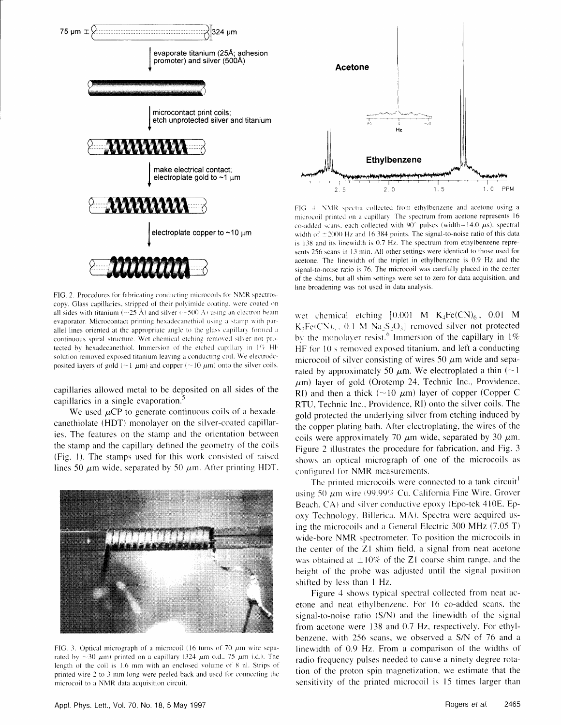

FIG. 2. Procedures for fabricating conducting microcoils for NMR spectroscopy. Glass capillaries, stripped of their polyimide coating, were coated on all sides with titanium ( $\sim$ 25 Å) and silver ( $\sim$ 500 Å) using an electron beam evaporator. Microcontact printing hexadecanethiol using a stamp with parallel lines oriented at the appropriate angle to the glass capillary formed a continuous spiral structure. Wet chemical etching removed silver not protected by hexadecanethiol. Immersion of the etched capillary in 1% HF solution removed exposed titanium leaving a conducting coil. We electrodeposited layers of gold ( $\sim$ 1  $\mu$ m) and copper ( $\sim$ 10  $\mu$ m) onto the silver coils.

capillaries allowed metal to be deposited on all sides of the capillaries in a single evaporation.

We used  $\mu$ CP to generate continuous coils of a hexadecanethiolate (HDT) monolayer on the silver-coated capillaries. The features on the stamp and the orientation between the stamp and the capillary defined the geometry of the coils (Fig. 1). The stamps used for this work consisted of raised lines 50  $\mu$ m wide, separated by 50  $\mu$ m. After printing HDT,



FIG. 3. Optical micrograph of a microcoil (16 turns of 70  $\mu$ m wire separated by  $\sim$ 30  $\mu$ m) printed on a capillary (324  $\mu$ m o.d., 75  $\mu$ m i.d.). The length of the coil is 1.6 mm with an enclosed volume of 8 nl. Strips of printed wire 2 to 3 mm long were peeled back and used for connecting the microcoil to a NMR data acquisition circuit.



FIG. 4. NMR spectra collected from ethylbenzene and acetone using a microcoil printed on a capillary. The spectrum from acetone represents 16 co-added scans, each collected with 90° pulses (width=14.0  $\mu$ s), spectral width of  $\pm 2000$  Hz and 16 384 points. The signal-to-noise ratio of this data is 138 and its linewidth is 0.7 Hz. The spectrum from ethylbenzene represents 256 scans in 13 min. All other settings were identical to those used for acetone. The linewidth of the triplet in ethylbenzene is 0.9 Hz and the signal-to-noise ratio is 76. The microcoil was carefully placed in the center of the shims, but all shim settings were set to zero for data acquisition, and line broadening was not used in data analysis.

wet chemical etching  $[0.001 \text{ M} \text{ K}_4\text{Fe(CN)}_6, 0.01 \text{ M}$  $K_3Fe(CN)_6$ , 0.1 M  $Na_2S_2O_3$  removed silver not protected by the monolayer resist.<sup>6</sup> Immersion of the capillary in  $1\%$ HF for 10 s removed exposed titanium, and left a conducting microcoil of silver consisting of wires 50  $\mu$ m wide and separated by approximately 50  $\mu$ m. We electroplated a thin (~1)  $\mu$ m) layer of gold (Orotemp 24, Technic Inc., Providence, RI) and then a thick ( $\sim$ 10  $\mu$ m) layer of copper (Copper C RTU, Technic Inc., Providence, RI) onto the silver coils. The gold protected the underlying silver from etching induced by the copper plating bath. After electroplating, the wires of the coils were approximately 70  $\mu$ m wide, separated by 30  $\mu$ m. Figure 2 illustrates the procedure for fabrication, and Fig. 3 shows an optical micrograph of one of the microcoils as configured for NMR measurements.

The printed microcoils were connected to a tank circuit<sup>1</sup> using 50  $\mu$ m wire (99.99% Cu. California Fine Wire, Grover Beach, CA) and silver conductive epoxy (Epo-tek 410E, Epoxy Technology, Billerica, MA). Spectra were acquired using the microcoils and a General Electric 300 MHz (7.05 T) wide-bore NMR spectrometer. To position the microcoils in the center of the Z1 shim field, a signal from neat acetone was obtained at  $\pm 10\%$  of the Z1 coarse shim range, and the height of the probe was adjusted until the signal position shifted by less than 1 Hz.

Figure 4 shows typical spectral collected from neat acetone and neat ethylbenzene. For 16 co-added scans, the signal-to-noise ratio (S/N) and the linewidth of the signal from acetone were 138 and 0.7 Hz, respectively. For ethylbenzene, with 256 scans, we observed a S/N of 76 and a linewidth of 0.9 Hz. From a comparison of the widths of radio frequency pulses needed to cause a ninety degree rotation of the proton spin magnetization, we estimate that the sensitivity of the printed microcoil is 15 times larger than